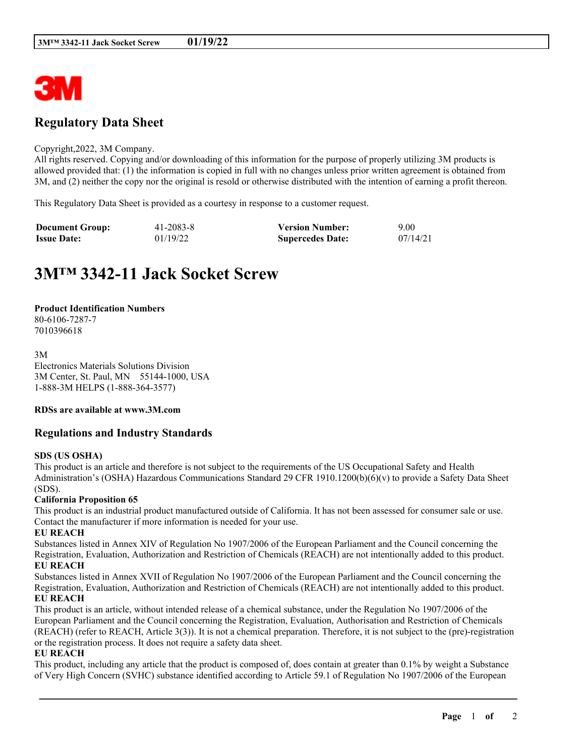

# **Regulatory Data Sheet**

#### Copyright,2022, 3M Company.

All rights reserved. Copying and/or downloading of this information for the purpose of properly utilizing 3M products is allowed provided that: (1) the information is copied in full with no changes unless prior written agreement is obtained from 3M, and (2) neither the copy nor the original is resold or otherwise distributed with the intention of earning a profit thereon.

This Regulatory Data Sheet is provided as a courtesy in response to a customer request.

| <b>Document Group:</b> | 41-2083-8 | <b>Version Number:</b>  | 9.00     |
|------------------------|-----------|-------------------------|----------|
| <b>Issue Date:</b>     | 01/19/22  | <b>Supercedes Date:</b> | 07/14/21 |

# **3M™ 3342-11 Jack Socket Screw**

#### **Product Identification Numbers**

80-6106-7287-7 7010396618

3M Electronics Materials Solutions Division 3M Center, St. Paul, MN 55144-1000, USA 1-888-3M HELPS (1-888-364-3577)

# **RDSs are available at www.3M.com**

# **Regulations and Industry Standards**

#### **SDS (US OSHA)**

This product is an article and therefore is not subject to the requirements of the US Occupational Safety and Health Administration's (OSHA) Hazardous Communications Standard 29 CFR 1910.1200(b)(6)(v) to provide a Safety Data Sheet (SDS).

## **California Proposition 65**

This product is an industrial product manufactured outside of California. It has not been assessed for consumer sale or use. Contact the manufacturer if more information is needed for your use.

#### **EU REACH**

Substances listed in Annex XIV of Regulation No 1907/2006 of the European Parliament and the Council concerning the Registration, Evaluation, Authorization and Restriction of Chemicals (REACH) are not intentionally added to this product. **EU REACH**

Substances listed in Annex XVII of Regulation No 1907/2006 of the European Parliament and the Council concerning the Registration, Evaluation, Authorization and Restriction of Chemicals (REACH) are not intentionally added to this product. **EU REACH**

This product is an article, without intended release of a chemical substance, under the Regulation No 1907/2006 of the European Parliament and the Council concerning the Registration, Evaluation, Authorisation and Restriction of Chemicals (REACH) (refer to REACH, Article 3(3)). It is not a chemical preparation. Therefore, it is not subject to the (pre)-registration or the registration process. It does not require a safety data sheet.

# **EU REACH**

This product, including any article that the product is composed of, does contain at greater than 0.1% by weight a Substance of Very High Concern (SVHC) substance identified according to Article 59.1 of Regulation No 1907/2006 of the European

\_\_\_\_\_\_\_\_\_\_\_\_\_\_\_\_\_\_\_\_\_\_\_\_\_\_\_\_\_\_\_\_\_\_\_\_\_\_\_\_\_\_\_\_\_\_\_\_\_\_\_\_\_\_\_\_\_\_\_\_\_\_\_\_\_\_\_\_\_\_\_\_\_\_\_\_\_\_\_\_\_\_\_\_\_\_\_\_\_\_